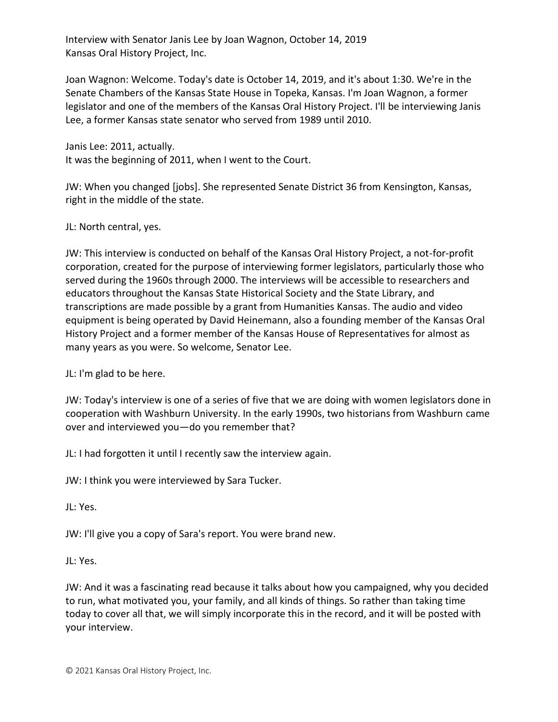Interview with Senator Janis Lee by Joan Wagnon, October 14, 2019 Kansas Oral History Project, Inc.

Joan Wagnon: Welcome. Today's date is October 14, 2019, and it's about 1:30. We're in the Senate Chambers of the Kansas State House in Topeka, Kansas. I'm Joan Wagnon, a former legislator and one of the members of the Kansas Oral History Project. I'll be interviewing Janis Lee, a former Kansas state senator who served from 1989 until 2010.

Janis Lee: 2011, actually. It was the beginning of 2011, when I went to the Court.

JW: When you changed [jobs]. She represented Senate District 36 from Kensington, Kansas, right in the middle of the state.

JL: North central, yes.

JW: This interview is conducted on behalf of the Kansas Oral History Project, a not-for-profit corporation, created for the purpose of interviewing former legislators, particularly those who served during the 1960s through 2000. The interviews will be accessible to researchers and educators throughout the Kansas State Historical Society and the State Library, and transcriptions are made possible by a grant from Humanities Kansas. The audio and video equipment is being operated by David Heinemann, also a founding member of the Kansas Oral History Project and a former member of the Kansas House of Representatives for almost as many years as you were. So welcome, Senator Lee.

JL: I'm glad to be here.

JW: Today's interview is one of a series of five that we are doing with women legislators done in cooperation with Washburn University. In the early 1990s, two historians from Washburn came over and interviewed you—do you remember that?

JL: I had forgotten it until I recently saw the interview again.

JW: I think you were interviewed by Sara Tucker.

JL: Yes.

JW: I'll give you a copy of Sara's report. You were brand new.

JL: Yes.

JW: And it was a fascinating read because it talks about how you campaigned, why you decided to run, what motivated you, your family, and all kinds of things. So rather than taking time today to cover all that, we will simply incorporate this in the record, and it will be posted with your interview.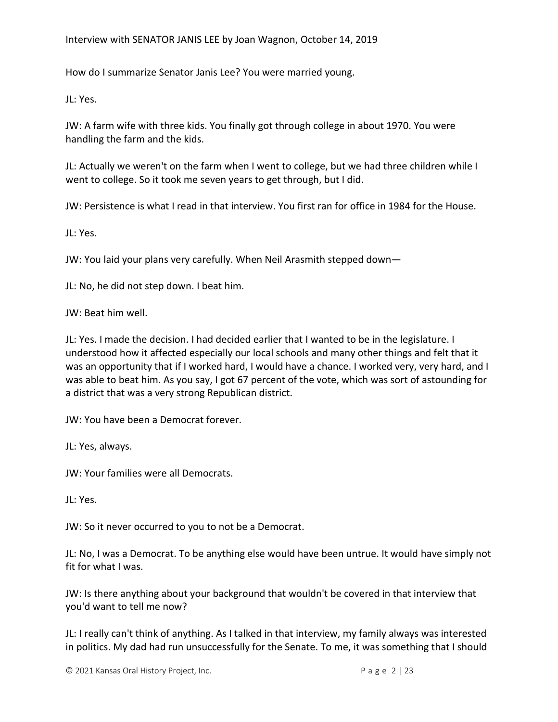How do I summarize Senator Janis Lee? You were married young.

JL: Yes.

JW: A farm wife with three kids. You finally got through college in about 1970. You were handling the farm and the kids.

JL: Actually we weren't on the farm when I went to college, but we had three children while I went to college. So it took me seven years to get through, but I did.

JW: Persistence is what I read in that interview. You first ran for office in 1984 for the House.

JL: Yes.

JW: You laid your plans very carefully. When Neil Arasmith stepped down—

JL: No, he did not step down. I beat him.

JW: Beat him well.

JL: Yes. I made the decision. I had decided earlier that I wanted to be in the legislature. I understood how it affected especially our local schools and many other things and felt that it was an opportunity that if I worked hard, I would have a chance. I worked very, very hard, and I was able to beat him. As you say, I got 67 percent of the vote, which was sort of astounding for a district that was a very strong Republican district.

JW: You have been a Democrat forever.

JL: Yes, always.

JW: Your families were all Democrats.

JL: Yes.

JW: So it never occurred to you to not be a Democrat.

JL: No, I was a Democrat. To be anything else would have been untrue. It would have simply not fit for what I was.

JW: Is there anything about your background that wouldn't be covered in that interview that you'd want to tell me now?

JL: I really can't think of anything. As I talked in that interview, my family always was interested in politics. My dad had run unsuccessfully for the Senate. To me, it was something that I should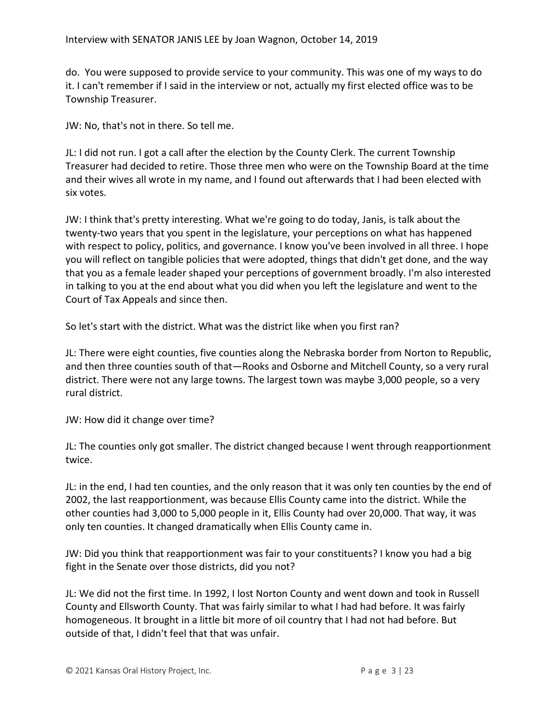do. You were supposed to provide service to your community. This was one of my ways to do it. I can't remember if I said in the interview or not, actually my first elected office was to be Township Treasurer.

JW: No, that's not in there. So tell me.

JL: I did not run. I got a call after the election by the County Clerk. The current Township Treasurer had decided to retire. Those three men who were on the Township Board at the time and their wives all wrote in my name, and I found out afterwards that I had been elected with six votes.

JW: I think that's pretty interesting. What we're going to do today, Janis, is talk about the twenty-two years that you spent in the legislature, your perceptions on what has happened with respect to policy, politics, and governance. I know you've been involved in all three. I hope you will reflect on tangible policies that were adopted, things that didn't get done, and the way that you as a female leader shaped your perceptions of government broadly. I'm also interested in talking to you at the end about what you did when you left the legislature and went to the Court of Tax Appeals and since then.

So let's start with the district. What was the district like when you first ran?

JL: There were eight counties, five counties along the Nebraska border from Norton to Republic, and then three counties south of that—Rooks and Osborne and Mitchell County, so a very rural district. There were not any large towns. The largest town was maybe 3,000 people, so a very rural district.

JW: How did it change over time?

JL: The counties only got smaller. The district changed because I went through reapportionment twice.

JL: in the end, I had ten counties, and the only reason that it was only ten counties by the end of 2002, the last reapportionment, was because Ellis County came into the district. While the other counties had 3,000 to 5,000 people in it, Ellis County had over 20,000. That way, it was only ten counties. It changed dramatically when Ellis County came in.

JW: Did you think that reapportionment was fair to your constituents? I know you had a big fight in the Senate over those districts, did you not?

JL: We did not the first time. In 1992, I lost Norton County and went down and took in Russell County and Ellsworth County. That was fairly similar to what I had had before. It was fairly homogeneous. It brought in a little bit more of oil country that I had not had before. But outside of that, I didn't feel that that was unfair.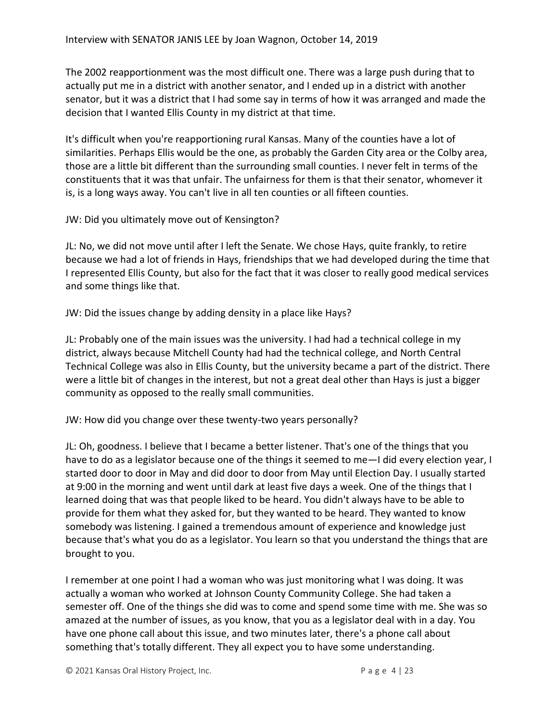The 2002 reapportionment was the most difficult one. There was a large push during that to actually put me in a district with another senator, and I ended up in a district with another senator, but it was a district that I had some say in terms of how it was arranged and made the decision that I wanted Ellis County in my district at that time.

It's difficult when you're reapportioning rural Kansas. Many of the counties have a lot of similarities. Perhaps Ellis would be the one, as probably the Garden City area or the Colby area, those are a little bit different than the surrounding small counties. I never felt in terms of the constituents that it was that unfair. The unfairness for them is that their senator, whomever it is, is a long ways away. You can't live in all ten counties or all fifteen counties.

JW: Did you ultimately move out of Kensington?

JL: No, we did not move until after I left the Senate. We chose Hays, quite frankly, to retire because we had a lot of friends in Hays, friendships that we had developed during the time that I represented Ellis County, but also for the fact that it was closer to really good medical services and some things like that.

JW: Did the issues change by adding density in a place like Hays?

JL: Probably one of the main issues was the university. I had had a technical college in my district, always because Mitchell County had had the technical college, and North Central Technical College was also in Ellis County, but the university became a part of the district. There were a little bit of changes in the interest, but not a great deal other than Hays is just a bigger community as opposed to the really small communities.

JW: How did you change over these twenty-two years personally?

JL: Oh, goodness. I believe that I became a better listener. That's one of the things that you have to do as a legislator because one of the things it seemed to me-I did every election year, I started door to door in May and did door to door from May until Election Day. I usually started at 9:00 in the morning and went until dark at least five days a week. One of the things that I learned doing that was that people liked to be heard. You didn't always have to be able to provide for them what they asked for, but they wanted to be heard. They wanted to know somebody was listening. I gained a tremendous amount of experience and knowledge just because that's what you do as a legislator. You learn so that you understand the things that are brought to you.

I remember at one point I had a woman who was just monitoring what I was doing. It was actually a woman who worked at Johnson County Community College. She had taken a semester off. One of the things she did was to come and spend some time with me. She was so amazed at the number of issues, as you know, that you as a legislator deal with in a day. You have one phone call about this issue, and two minutes later, there's a phone call about something that's totally different. They all expect you to have some understanding.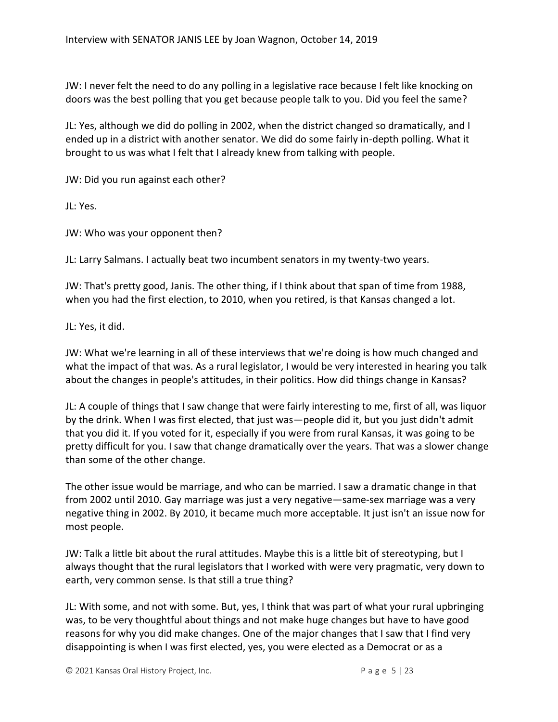JW: I never felt the need to do any polling in a legislative race because I felt like knocking on doors was the best polling that you get because people talk to you. Did you feel the same?

JL: Yes, although we did do polling in 2002, when the district changed so dramatically, and I ended up in a district with another senator. We did do some fairly in-depth polling. What it brought to us was what I felt that I already knew from talking with people.

JW: Did you run against each other?

JL: Yes.

JW: Who was your opponent then?

JL: Larry Salmans. I actually beat two incumbent senators in my twenty-two years.

JW: That's pretty good, Janis. The other thing, if I think about that span of time from 1988, when you had the first election, to 2010, when you retired, is that Kansas changed a lot.

JL: Yes, it did.

JW: What we're learning in all of these interviews that we're doing is how much changed and what the impact of that was. As a rural legislator, I would be very interested in hearing you talk about the changes in people's attitudes, in their politics. How did things change in Kansas?

JL: A couple of things that I saw change that were fairly interesting to me, first of all, was liquor by the drink. When I was first elected, that just was—people did it, but you just didn't admit that you did it. If you voted for it, especially if you were from rural Kansas, it was going to be pretty difficult for you. I saw that change dramatically over the years. That was a slower change than some of the other change.

The other issue would be marriage, and who can be married. I saw a dramatic change in that from 2002 until 2010. Gay marriage was just a very negative—same-sex marriage was a very negative thing in 2002. By 2010, it became much more acceptable. It just isn't an issue now for most people.

JW: Talk a little bit about the rural attitudes. Maybe this is a little bit of stereotyping, but I always thought that the rural legislators that I worked with were very pragmatic, very down to earth, very common sense. Is that still a true thing?

JL: With some, and not with some. But, yes, I think that was part of what your rural upbringing was, to be very thoughtful about things and not make huge changes but have to have good reasons for why you did make changes. One of the major changes that I saw that I find very disappointing is when I was first elected, yes, you were elected as a Democrat or as a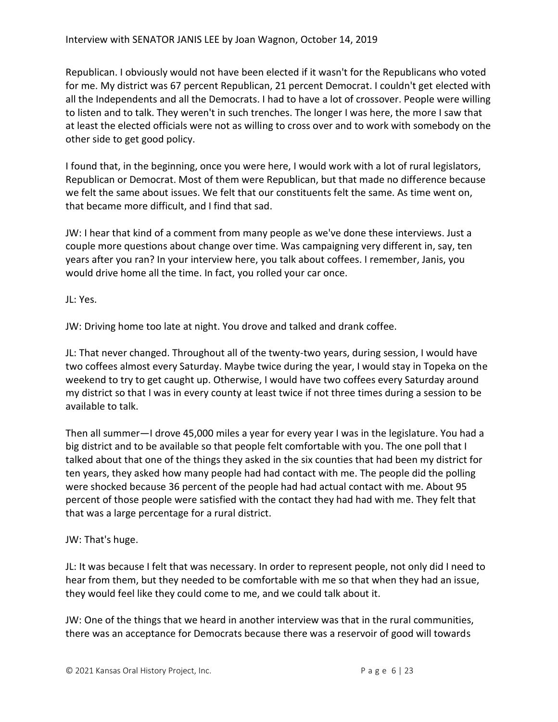Republican. I obviously would not have been elected if it wasn't for the Republicans who voted for me. My district was 67 percent Republican, 21 percent Democrat. I couldn't get elected with all the Independents and all the Democrats. I had to have a lot of crossover. People were willing to listen and to talk. They weren't in such trenches. The longer I was here, the more I saw that at least the elected officials were not as willing to cross over and to work with somebody on the other side to get good policy.

I found that, in the beginning, once you were here, I would work with a lot of rural legislators, Republican or Democrat. Most of them were Republican, but that made no difference because we felt the same about issues. We felt that our constituents felt the same. As time went on, that became more difficult, and I find that sad.

JW: I hear that kind of a comment from many people as we've done these interviews. Just a couple more questions about change over time. Was campaigning very different in, say, ten years after you ran? In your interview here, you talk about coffees. I remember, Janis, you would drive home all the time. In fact, you rolled your car once.

JL: Yes.

JW: Driving home too late at night. You drove and talked and drank coffee.

JL: That never changed. Throughout all of the twenty-two years, during session, I would have two coffees almost every Saturday. Maybe twice during the year, I would stay in Topeka on the weekend to try to get caught up. Otherwise, I would have two coffees every Saturday around my district so that I was in every county at least twice if not three times during a session to be available to talk.

Then all summer—I drove 45,000 miles a year for every year I was in the legislature. You had a big district and to be available so that people felt comfortable with you. The one poll that I talked about that one of the things they asked in the six counties that had been my district for ten years, they asked how many people had had contact with me. The people did the polling were shocked because 36 percent of the people had had actual contact with me. About 95 percent of those people were satisfied with the contact they had had with me. They felt that that was a large percentage for a rural district.

## JW: That's huge.

JL: It was because I felt that was necessary. In order to represent people, not only did I need to hear from them, but they needed to be comfortable with me so that when they had an issue, they would feel like they could come to me, and we could talk about it.

JW: One of the things that we heard in another interview was that in the rural communities, there was an acceptance for Democrats because there was a reservoir of good will towards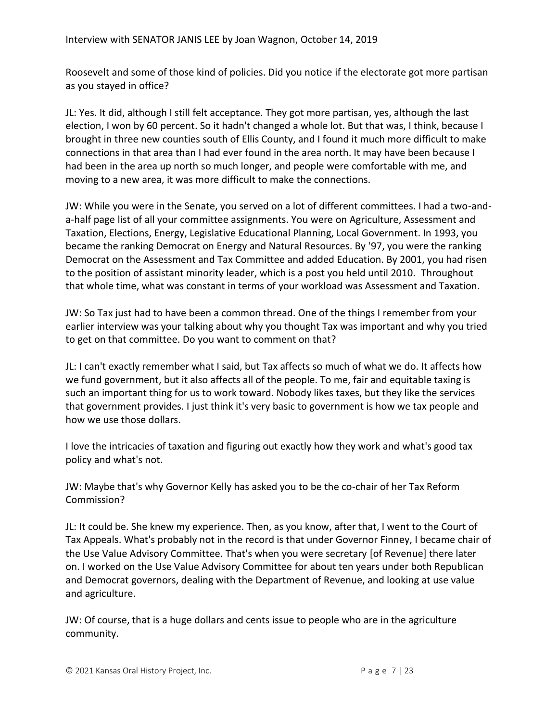Roosevelt and some of those kind of policies. Did you notice if the electorate got more partisan as you stayed in office?

JL: Yes. It did, although I still felt acceptance. They got more partisan, yes, although the last election, I won by 60 percent. So it hadn't changed a whole lot. But that was, I think, because I brought in three new counties south of Ellis County, and I found it much more difficult to make connections in that area than I had ever found in the area north. It may have been because I had been in the area up north so much longer, and people were comfortable with me, and moving to a new area, it was more difficult to make the connections.

JW: While you were in the Senate, you served on a lot of different committees. I had a two-anda-half page list of all your committee assignments. You were on Agriculture, Assessment and Taxation, Elections, Energy, Legislative Educational Planning, Local Government. In 1993, you became the ranking Democrat on Energy and Natural Resources. By '97, you were the ranking Democrat on the Assessment and Tax Committee and added Education. By 2001, you had risen to the position of assistant minority leader, which is a post you held until 2010. Throughout that whole time, what was constant in terms of your workload was Assessment and Taxation.

JW: So Tax just had to have been a common thread. One of the things I remember from your earlier interview was your talking about why you thought Tax was important and why you tried to get on that committee. Do you want to comment on that?

JL: I can't exactly remember what I said, but Tax affects so much of what we do. It affects how we fund government, but it also affects all of the people. To me, fair and equitable taxing is such an important thing for us to work toward. Nobody likes taxes, but they like the services that government provides. I just think it's very basic to government is how we tax people and how we use those dollars.

I love the intricacies of taxation and figuring out exactly how they work and what's good tax policy and what's not.

JW: Maybe that's why Governor Kelly has asked you to be the co-chair of her Tax Reform Commission?

JL: It could be. She knew my experience. Then, as you know, after that, I went to the Court of Tax Appeals. What's probably not in the record is that under Governor Finney, I became chair of the Use Value Advisory Committee. That's when you were secretary [of Revenue] there later on. I worked on the Use Value Advisory Committee for about ten years under both Republican and Democrat governors, dealing with the Department of Revenue, and looking at use value and agriculture.

JW: Of course, that is a huge dollars and cents issue to people who are in the agriculture community.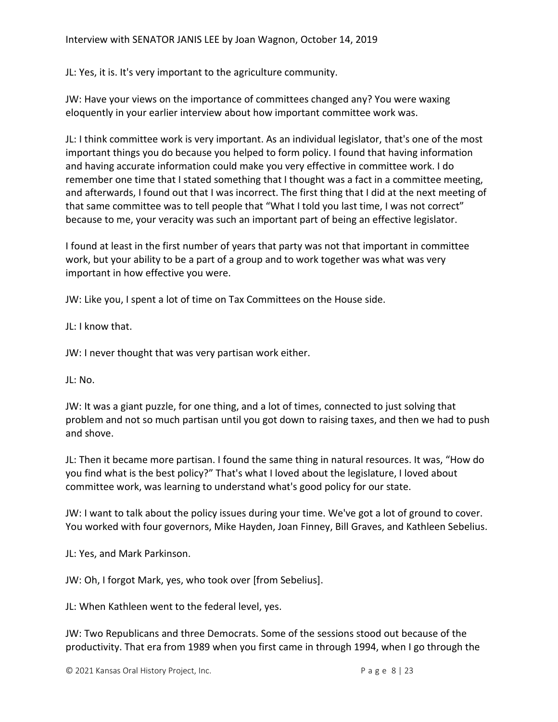JL: Yes, it is. It's very important to the agriculture community.

JW: Have your views on the importance of committees changed any? You were waxing eloquently in your earlier interview about how important committee work was.

JL: I think committee work is very important. As an individual legislator, that's one of the most important things you do because you helped to form policy. I found that having information and having accurate information could make you very effective in committee work. I do remember one time that I stated something that I thought was a fact in a committee meeting, and afterwards, I found out that I was incorrect. The first thing that I did at the next meeting of that same committee was to tell people that "What I told you last time, I was not correct" because to me, your veracity was such an important part of being an effective legislator.

I found at least in the first number of years that party was not that important in committee work, but your ability to be a part of a group and to work together was what was very important in how effective you were.

JW: Like you, I spent a lot of time on Tax Committees on the House side.

 $II: I$  know that.

JW: I never thought that was very partisan work either.

JL: No.

JW: It was a giant puzzle, for one thing, and a lot of times, connected to just solving that problem and not so much partisan until you got down to raising taxes, and then we had to push and shove.

JL: Then it became more partisan. I found the same thing in natural resources. It was, "How do you find what is the best policy?" That's what I loved about the legislature, I loved about committee work, was learning to understand what's good policy for our state.

JW: I want to talk about the policy issues during your time. We've got a lot of ground to cover. You worked with four governors, Mike Hayden, Joan Finney, Bill Graves, and Kathleen Sebelius.

JL: Yes, and Mark Parkinson.

JW: Oh, I forgot Mark, yes, who took over [from Sebelius].

JL: When Kathleen went to the federal level, yes.

JW: Two Republicans and three Democrats. Some of the sessions stood out because of the productivity. That era from 1989 when you first came in through 1994, when I go through the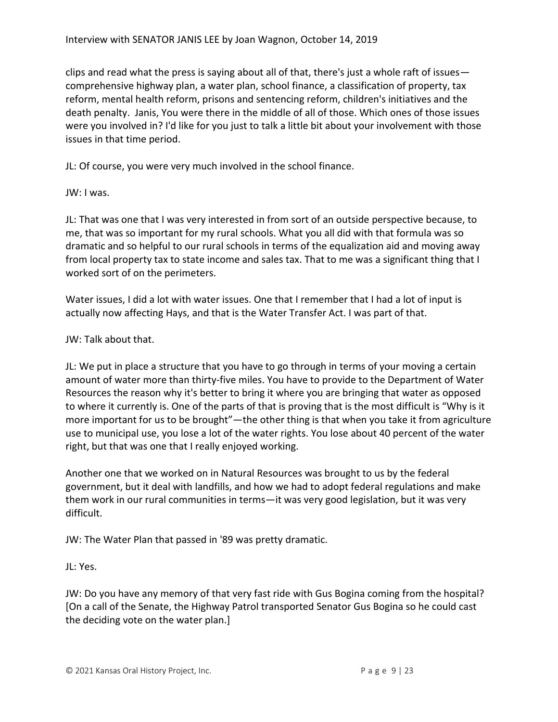clips and read what the press is saying about all of that, there's just a whole raft of issues comprehensive highway plan, a water plan, school finance, a classification of property, tax reform, mental health reform, prisons and sentencing reform, children's initiatives and the death penalty. Janis, You were there in the middle of all of those. Which ones of those issues were you involved in? I'd like for you just to talk a little bit about your involvement with those issues in that time period.

JL: Of course, you were very much involved in the school finance.

JW: I was.

JL: That was one that I was very interested in from sort of an outside perspective because, to me, that was so important for my rural schools. What you all did with that formula was so dramatic and so helpful to our rural schools in terms of the equalization aid and moving away from local property tax to state income and sales tax. That to me was a significant thing that I worked sort of on the perimeters.

Water issues, I did a lot with water issues. One that I remember that I had a lot of input is actually now affecting Hays, and that is the Water Transfer Act. I was part of that.

## JW: Talk about that.

JL: We put in place a structure that you have to go through in terms of your moving a certain amount of water more than thirty-five miles. You have to provide to the Department of Water Resources the reason why it's better to bring it where you are bringing that water as opposed to where it currently is. One of the parts of that is proving that is the most difficult is "Why is it more important for us to be brought"—the other thing is that when you take it from agriculture use to municipal use, you lose a lot of the water rights. You lose about 40 percent of the water right, but that was one that I really enjoyed working.

Another one that we worked on in Natural Resources was brought to us by the federal government, but it deal with landfills, and how we had to adopt federal regulations and make them work in our rural communities in terms—it was very good legislation, but it was very difficult.

JW: The Water Plan that passed in '89 was pretty dramatic.

JL: Yes.

JW: Do you have any memory of that very fast ride with Gus Bogina coming from the hospital? [On a call of the Senate, the Highway Patrol transported Senator Gus Bogina so he could cast the deciding vote on the water plan.]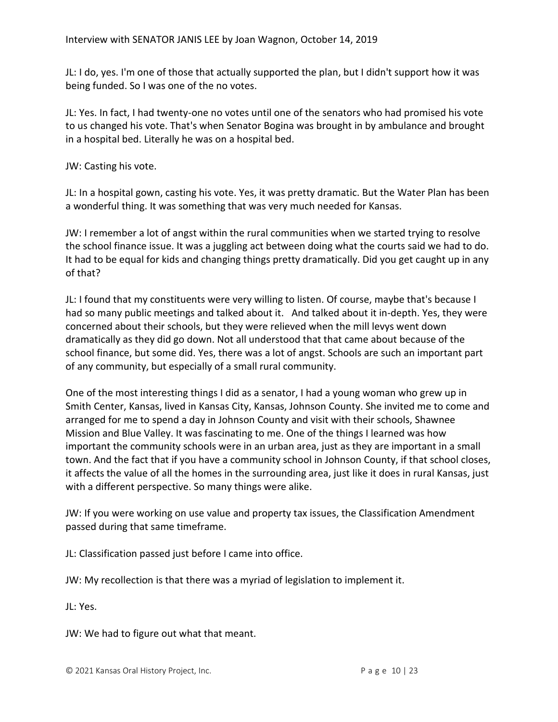JL: I do, yes. I'm one of those that actually supported the plan, but I didn't support how it was being funded. So I was one of the no votes.

JL: Yes. In fact, I had twenty-one no votes until one of the senators who had promised his vote to us changed his vote. That's when Senator Bogina was brought in by ambulance and brought in a hospital bed. Literally he was on a hospital bed.

JW: Casting his vote.

JL: In a hospital gown, casting his vote. Yes, it was pretty dramatic. But the Water Plan has been a wonderful thing. It was something that was very much needed for Kansas.

JW: I remember a lot of angst within the rural communities when we started trying to resolve the school finance issue. It was a juggling act between doing what the courts said we had to do. It had to be equal for kids and changing things pretty dramatically. Did you get caught up in any of that?

JL: I found that my constituents were very willing to listen. Of course, maybe that's because I had so many public meetings and talked about it. And talked about it in-depth. Yes, they were concerned about their schools, but they were relieved when the mill levys went down dramatically as they did go down. Not all understood that that came about because of the school finance, but some did. Yes, there was a lot of angst. Schools are such an important part of any community, but especially of a small rural community.

One of the most interesting things I did as a senator, I had a young woman who grew up in Smith Center, Kansas, lived in Kansas City, Kansas, Johnson County. She invited me to come and arranged for me to spend a day in Johnson County and visit with their schools, Shawnee Mission and Blue Valley. It was fascinating to me. One of the things I learned was how important the community schools were in an urban area, just as they are important in a small town. And the fact that if you have a community school in Johnson County, if that school closes, it affects the value of all the homes in the surrounding area, just like it does in rural Kansas, just with a different perspective. So many things were alike.

JW: If you were working on use value and property tax issues, the Classification Amendment passed during that same timeframe.

JL: Classification passed just before I came into office.

JW: My recollection is that there was a myriad of legislation to implement it.

JL: Yes.

JW: We had to figure out what that meant.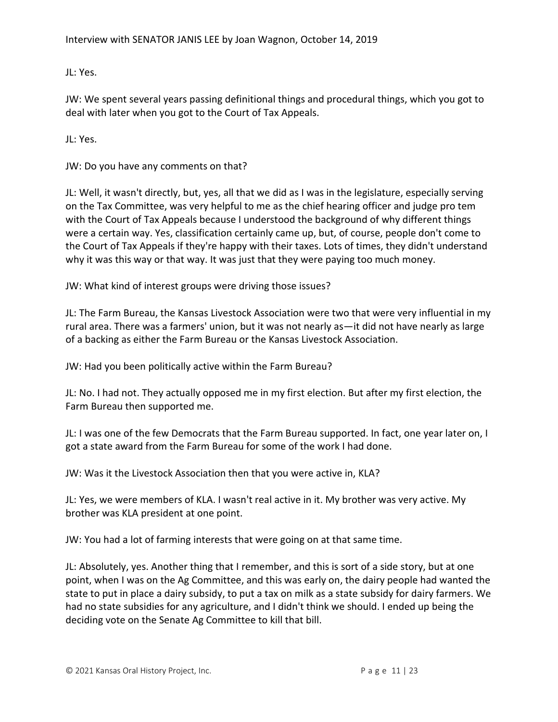JL: Yes.

JW: We spent several years passing definitional things and procedural things, which you got to deal with later when you got to the Court of Tax Appeals.

JL: Yes.

JW: Do you have any comments on that?

JL: Well, it wasn't directly, but, yes, all that we did as I was in the legislature, especially serving on the Tax Committee, was very helpful to me as the chief hearing officer and judge pro tem with the Court of Tax Appeals because I understood the background of why different things were a certain way. Yes, classification certainly came up, but, of course, people don't come to the Court of Tax Appeals if they're happy with their taxes. Lots of times, they didn't understand why it was this way or that way. It was just that they were paying too much money.

JW: What kind of interest groups were driving those issues?

JL: The Farm Bureau, the Kansas Livestock Association were two that were very influential in my rural area. There was a farmers' union, but it was not nearly as—it did not have nearly as large of a backing as either the Farm Bureau or the Kansas Livestock Association.

JW: Had you been politically active within the Farm Bureau?

JL: No. I had not. They actually opposed me in my first election. But after my first election, the Farm Bureau then supported me.

JL: I was one of the few Democrats that the Farm Bureau supported. In fact, one year later on, I got a state award from the Farm Bureau for some of the work I had done.

JW: Was it the Livestock Association then that you were active in, KLA?

JL: Yes, we were members of KLA. I wasn't real active in it. My brother was very active. My brother was KLA president at one point.

JW: You had a lot of farming interests that were going on at that same time.

JL: Absolutely, yes. Another thing that I remember, and this is sort of a side story, but at one point, when I was on the Ag Committee, and this was early on, the dairy people had wanted the state to put in place a dairy subsidy, to put a tax on milk as a state subsidy for dairy farmers. We had no state subsidies for any agriculture, and I didn't think we should. I ended up being the deciding vote on the Senate Ag Committee to kill that bill.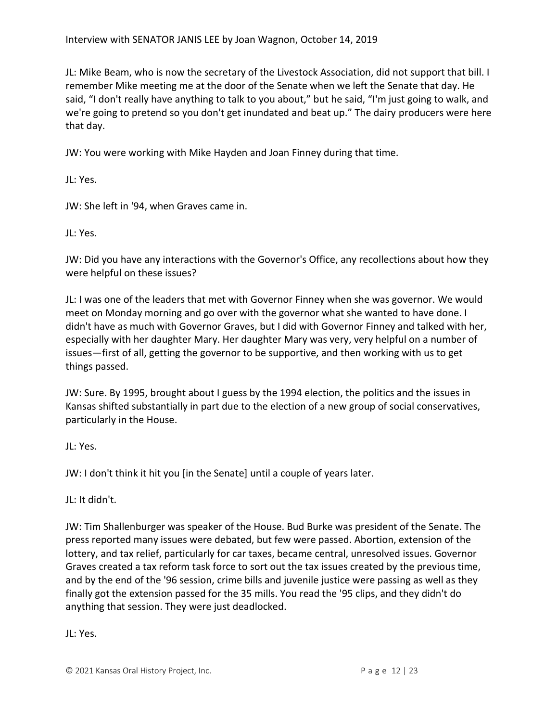JL: Mike Beam, who is now the secretary of the Livestock Association, did not support that bill. I remember Mike meeting me at the door of the Senate when we left the Senate that day. He said, "I don't really have anything to talk to you about," but he said, "I'm just going to walk, and we're going to pretend so you don't get inundated and beat up." The dairy producers were here that day.

JW: You were working with Mike Hayden and Joan Finney during that time.

JL: Yes.

JW: She left in '94, when Graves came in.

JL: Yes.

JW: Did you have any interactions with the Governor's Office, any recollections about how they were helpful on these issues?

JL: I was one of the leaders that met with Governor Finney when she was governor. We would meet on Monday morning and go over with the governor what she wanted to have done. I didn't have as much with Governor Graves, but I did with Governor Finney and talked with her, especially with her daughter Mary. Her daughter Mary was very, very helpful on a number of issues—first of all, getting the governor to be supportive, and then working with us to get things passed.

JW: Sure. By 1995, brought about I guess by the 1994 election, the politics and the issues in Kansas shifted substantially in part due to the election of a new group of social conservatives, particularly in the House.

JL: Yes.

JW: I don't think it hit you [in the Senate] until a couple of years later.

JL: It didn't.

JW: Tim Shallenburger was speaker of the House. Bud Burke was president of the Senate. The press reported many issues were debated, but few were passed. Abortion, extension of the lottery, and tax relief, particularly for car taxes, became central, unresolved issues. Governor Graves created a tax reform task force to sort out the tax issues created by the previous time, and by the end of the '96 session, crime bills and juvenile justice were passing as well as they finally got the extension passed for the 35 mills. You read the '95 clips, and they didn't do anything that session. They were just deadlocked.

JL: Yes.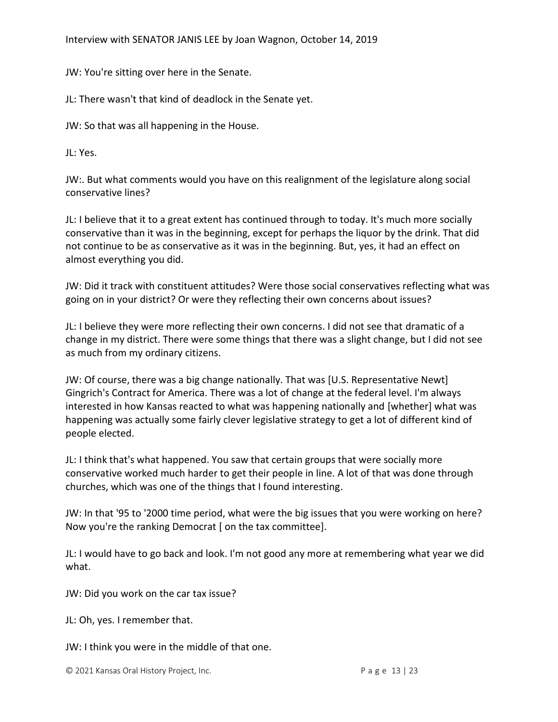Interview with SENATOR JANIS LEE by Joan Wagnon, October 14, 2019

JW: You're sitting over here in the Senate.

JL: There wasn't that kind of deadlock in the Senate yet.

JW: So that was all happening in the House.

JL: Yes.

JW:. But what comments would you have on this realignment of the legislature along social conservative lines?

JL: I believe that it to a great extent has continued through to today. It's much more socially conservative than it was in the beginning, except for perhaps the liquor by the drink. That did not continue to be as conservative as it was in the beginning. But, yes, it had an effect on almost everything you did.

JW: Did it track with constituent attitudes? Were those social conservatives reflecting what was going on in your district? Or were they reflecting their own concerns about issues?

JL: I believe they were more reflecting their own concerns. I did not see that dramatic of a change in my district. There were some things that there was a slight change, but I did not see as much from my ordinary citizens.

JW: Of course, there was a big change nationally. That was [U.S. Representative Newt] Gingrich's Contract for America. There was a lot of change at the federal level. I'm always interested in how Kansas reacted to what was happening nationally and [whether] what was happening was actually some fairly clever legislative strategy to get a lot of different kind of people elected.

JL: I think that's what happened. You saw that certain groups that were socially more conservative worked much harder to get their people in line. A lot of that was done through churches, which was one of the things that I found interesting.

JW: In that '95 to '2000 time period, what were the big issues that you were working on here? Now you're the ranking Democrat [ on the tax committee].

JL: I would have to go back and look. I'm not good any more at remembering what year we did what.

JW: Did you work on the car tax issue?

JL: Oh, yes. I remember that.

JW: I think you were in the middle of that one.

© 2021 Kansas Oral History Project, Inc. P a g e 13 | 23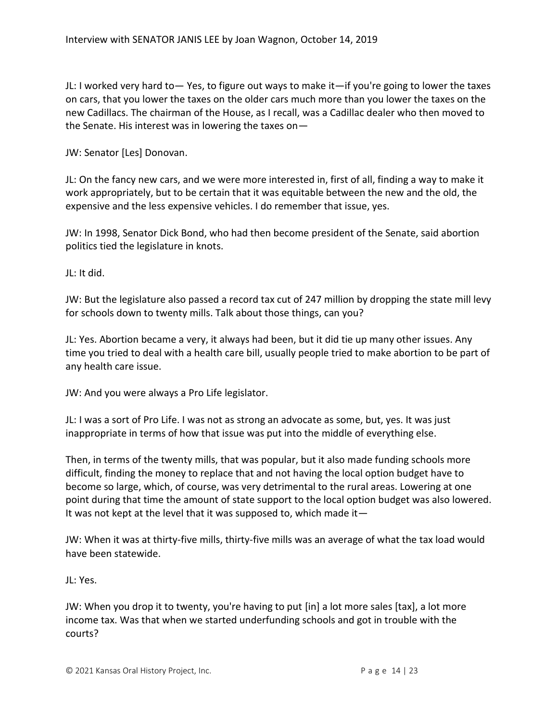JL: I worked very hard to— Yes, to figure out ways to make it—if you're going to lower the taxes on cars, that you lower the taxes on the older cars much more than you lower the taxes on the new Cadillacs. The chairman of the House, as I recall, was a Cadillac dealer who then moved to the Senate. His interest was in lowering the taxes on—

JW: Senator [Les] Donovan.

JL: On the fancy new cars, and we were more interested in, first of all, finding a way to make it work appropriately, but to be certain that it was equitable between the new and the old, the expensive and the less expensive vehicles. I do remember that issue, yes.

JW: In 1998, Senator Dick Bond, who had then become president of the Senate, said abortion politics tied the legislature in knots.

JL: It did.

JW: But the legislature also passed a record tax cut of 247 million by dropping the state mill levy for schools down to twenty mills. Talk about those things, can you?

JL: Yes. Abortion became a very, it always had been, but it did tie up many other issues. Any time you tried to deal with a health care bill, usually people tried to make abortion to be part of any health care issue.

JW: And you were always a Pro Life legislator.

JL: I was a sort of Pro Life. I was not as strong an advocate as some, but, yes. It was just inappropriate in terms of how that issue was put into the middle of everything else.

Then, in terms of the twenty mills, that was popular, but it also made funding schools more difficult, finding the money to replace that and not having the local option budget have to become so large, which, of course, was very detrimental to the rural areas. Lowering at one point during that time the amount of state support to the local option budget was also lowered. It was not kept at the level that it was supposed to, which made it  $-$ 

JW: When it was at thirty-five mills, thirty-five mills was an average of what the tax load would have been statewide.

JL: Yes.

JW: When you drop it to twenty, you're having to put [in] a lot more sales [tax], a lot more income tax. Was that when we started underfunding schools and got in trouble with the courts?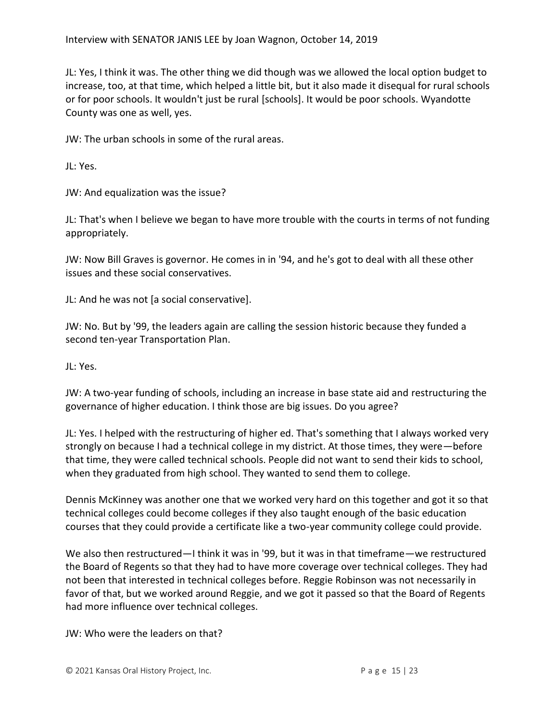JL: Yes, I think it was. The other thing we did though was we allowed the local option budget to increase, too, at that time, which helped a little bit, but it also made it disequal for rural schools or for poor schools. It wouldn't just be rural [schools]. It would be poor schools. Wyandotte County was one as well, yes.

JW: The urban schools in some of the rural areas.

JL: Yes.

JW: And equalization was the issue?

JL: That's when I believe we began to have more trouble with the courts in terms of not funding appropriately.

JW: Now Bill Graves is governor. He comes in in '94, and he's got to deal with all these other issues and these social conservatives.

JL: And he was not [a social conservative].

JW: No. But by '99, the leaders again are calling the session historic because they funded a second ten-year Transportation Plan.

JL: Yes.

JW: A two-year funding of schools, including an increase in base state aid and restructuring the governance of higher education. I think those are big issues. Do you agree?

JL: Yes. I helped with the restructuring of higher ed. That's something that I always worked very strongly on because I had a technical college in my district. At those times, they were—before that time, they were called technical schools. People did not want to send their kids to school, when they graduated from high school. They wanted to send them to college.

Dennis McKinney was another one that we worked very hard on this together and got it so that technical colleges could become colleges if they also taught enough of the basic education courses that they could provide a certificate like a two-year community college could provide.

We also then restructured—I think it was in '99, but it was in that timeframe—we restructured the Board of Regents so that they had to have more coverage over technical colleges. They had not been that interested in technical colleges before. Reggie Robinson was not necessarily in favor of that, but we worked around Reggie, and we got it passed so that the Board of Regents had more influence over technical colleges.

JW: Who were the leaders on that?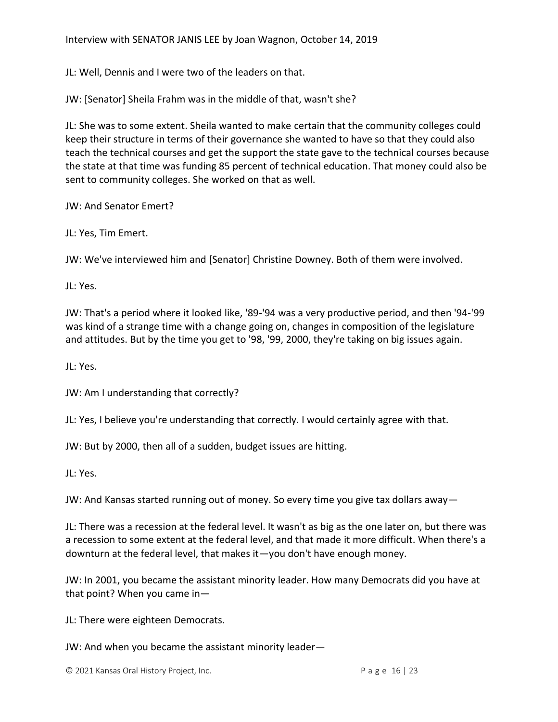JL: Well, Dennis and I were two of the leaders on that.

JW: [Senator] Sheila Frahm was in the middle of that, wasn't she?

JL: She was to some extent. Sheila wanted to make certain that the community colleges could keep their structure in terms of their governance she wanted to have so that they could also teach the technical courses and get the support the state gave to the technical courses because the state at that time was funding 85 percent of technical education. That money could also be sent to community colleges. She worked on that as well.

JW: And Senator Emert?

JL: Yes, Tim Emert.

JW: We've interviewed him and [Senator] Christine Downey. Both of them were involved.

JL: Yes.

JW: That's a period where it looked like, '89-'94 was a very productive period, and then '94-'99 was kind of a strange time with a change going on, changes in composition of the legislature and attitudes. But by the time you get to '98, '99, 2000, they're taking on big issues again.

JL: Yes.

JW: Am I understanding that correctly?

JL: Yes, I believe you're understanding that correctly. I would certainly agree with that.

JW: But by 2000, then all of a sudden, budget issues are hitting.

JL: Yes.

JW: And Kansas started running out of money. So every time you give tax dollars away—

JL: There was a recession at the federal level. It wasn't as big as the one later on, but there was a recession to some extent at the federal level, and that made it more difficult. When there's a downturn at the federal level, that makes it—you don't have enough money.

JW: In 2001, you became the assistant minority leader. How many Democrats did you have at that point? When you came in—

JL: There were eighteen Democrats.

JW: And when you became the assistant minority leader—

© 2021 Kansas Oral History Project, Inc. P a g e 16 | 23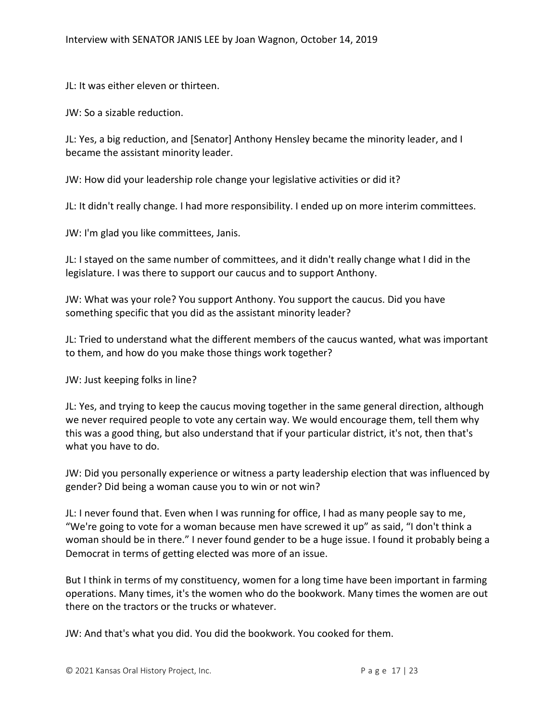JL: It was either eleven or thirteen.

JW: So a sizable reduction.

JL: Yes, a big reduction, and [Senator] Anthony Hensley became the minority leader, and I became the assistant minority leader.

JW: How did your leadership role change your legislative activities or did it?

JL: It didn't really change. I had more responsibility. I ended up on more interim committees.

JW: I'm glad you like committees, Janis.

JL: I stayed on the same number of committees, and it didn't really change what I did in the legislature. I was there to support our caucus and to support Anthony.

JW: What was your role? You support Anthony. You support the caucus. Did you have something specific that you did as the assistant minority leader?

JL: Tried to understand what the different members of the caucus wanted, what was important to them, and how do you make those things work together?

JW: Just keeping folks in line?

JL: Yes, and trying to keep the caucus moving together in the same general direction, although we never required people to vote any certain way. We would encourage them, tell them why this was a good thing, but also understand that if your particular district, it's not, then that's what you have to do.

JW: Did you personally experience or witness a party leadership election that was influenced by gender? Did being a woman cause you to win or not win?

JL: I never found that. Even when I was running for office, I had as many people say to me, "We're going to vote for a woman because men have screwed it up" as said, "I don't think a woman should be in there." I never found gender to be a huge issue. I found it probably being a Democrat in terms of getting elected was more of an issue.

But I think in terms of my constituency, women for a long time have been important in farming operations. Many times, it's the women who do the bookwork. Many times the women are out there on the tractors or the trucks or whatever.

JW: And that's what you did. You did the bookwork. You cooked for them.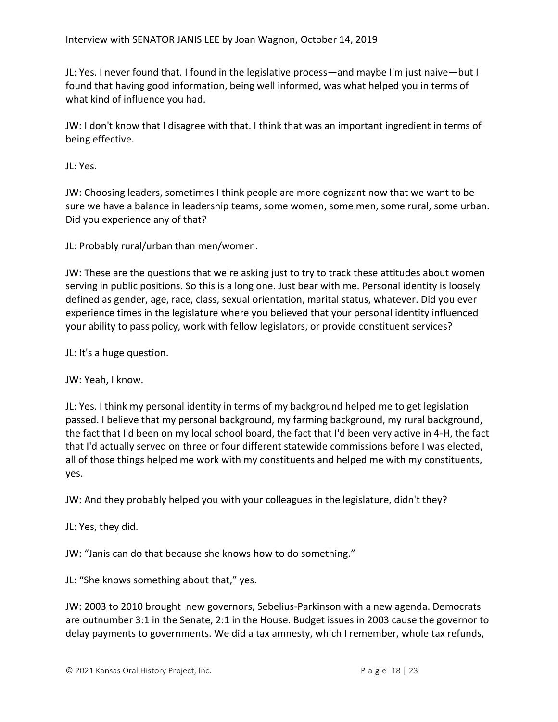JL: Yes. I never found that. I found in the legislative process—and maybe I'm just naive—but I found that having good information, being well informed, was what helped you in terms of what kind of influence you had.

JW: I don't know that I disagree with that. I think that was an important ingredient in terms of being effective.

JL: Yes.

JW: Choosing leaders, sometimes I think people are more cognizant now that we want to be sure we have a balance in leadership teams, some women, some men, some rural, some urban. Did you experience any of that?

JL: Probably rural/urban than men/women.

JW: These are the questions that we're asking just to try to track these attitudes about women serving in public positions. So this is a long one. Just bear with me. Personal identity is loosely defined as gender, age, race, class, sexual orientation, marital status, whatever. Did you ever experience times in the legislature where you believed that your personal identity influenced your ability to pass policy, work with fellow legislators, or provide constituent services?

JL: It's a huge question.

JW: Yeah, I know.

JL: Yes. I think my personal identity in terms of my background helped me to get legislation passed. I believe that my personal background, my farming background, my rural background, the fact that I'd been on my local school board, the fact that I'd been very active in 4-H, the fact that I'd actually served on three or four different statewide commissions before I was elected, all of those things helped me work with my constituents and helped me with my constituents, yes.

JW: And they probably helped you with your colleagues in the legislature, didn't they?

JL: Yes, they did.

JW: "Janis can do that because she knows how to do something."

JL: "She knows something about that," yes.

JW: 2003 to 2010 brought new governors, Sebelius-Parkinson with a new agenda. Democrats are outnumber 3:1 in the Senate, 2:1 in the House. Budget issues in 2003 cause the governor to delay payments to governments. We did a tax amnesty, which I remember, whole tax refunds,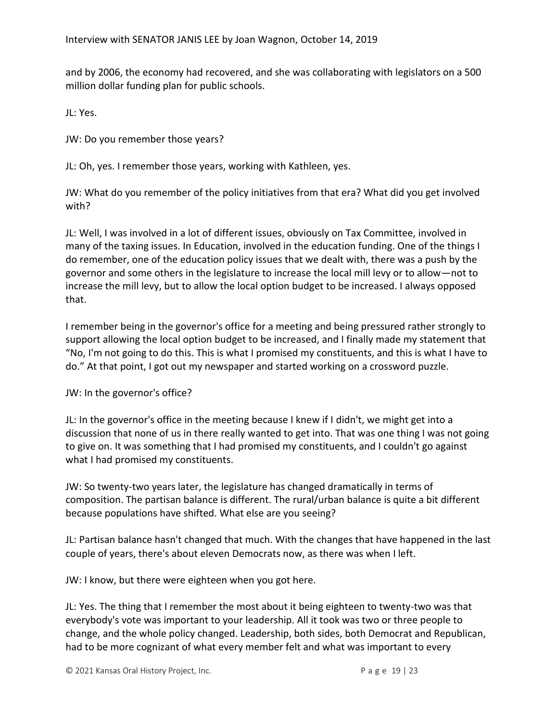and by 2006, the economy had recovered, and she was collaborating with legislators on a 500 million dollar funding plan for public schools.

JL: Yes.

JW: Do you remember those years?

JL: Oh, yes. I remember those years, working with Kathleen, yes.

JW: What do you remember of the policy initiatives from that era? What did you get involved with?

JL: Well, I was involved in a lot of different issues, obviously on Tax Committee, involved in many of the taxing issues. In Education, involved in the education funding. One of the things I do remember, one of the education policy issues that we dealt with, there was a push by the governor and some others in the legislature to increase the local mill levy or to allow—not to increase the mill levy, but to allow the local option budget to be increased. I always opposed that.

I remember being in the governor's office for a meeting and being pressured rather strongly to support allowing the local option budget to be increased, and I finally made my statement that "No, I'm not going to do this. This is what I promised my constituents, and this is what I have to do." At that point, I got out my newspaper and started working on a crossword puzzle.

JW: In the governor's office?

JL: In the governor's office in the meeting because I knew if I didn't, we might get into a discussion that none of us in there really wanted to get into. That was one thing I was not going to give on. It was something that I had promised my constituents, and I couldn't go against what I had promised my constituents.

JW: So twenty-two years later, the legislature has changed dramatically in terms of composition. The partisan balance is different. The rural/urban balance is quite a bit different because populations have shifted. What else are you seeing?

JL: Partisan balance hasn't changed that much. With the changes that have happened in the last couple of years, there's about eleven Democrats now, as there was when I left.

JW: I know, but there were eighteen when you got here.

JL: Yes. The thing that I remember the most about it being eighteen to twenty-two was that everybody's vote was important to your leadership. All it took was two or three people to change, and the whole policy changed. Leadership, both sides, both Democrat and Republican, had to be more cognizant of what every member felt and what was important to every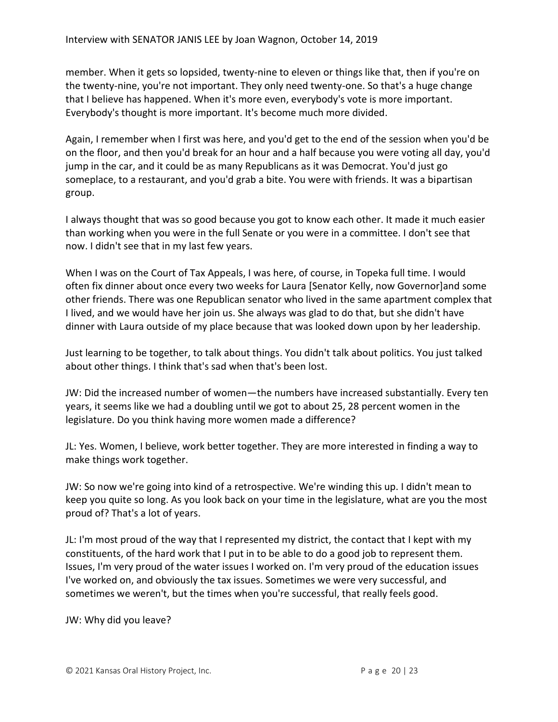member. When it gets so lopsided, twenty-nine to eleven or things like that, then if you're on the twenty-nine, you're not important. They only need twenty-one. So that's a huge change that I believe has happened. When it's more even, everybody's vote is more important. Everybody's thought is more important. It's become much more divided.

Again, I remember when I first was here, and you'd get to the end of the session when you'd be on the floor, and then you'd break for an hour and a half because you were voting all day, you'd jump in the car, and it could be as many Republicans as it was Democrat. You'd just go someplace, to a restaurant, and you'd grab a bite. You were with friends. It was a bipartisan group.

I always thought that was so good because you got to know each other. It made it much easier than working when you were in the full Senate or you were in a committee. I don't see that now. I didn't see that in my last few years.

When I was on the Court of Tax Appeals, I was here, of course, in Topeka full time. I would often fix dinner about once every two weeks for Laura [Senator Kelly, now Governor]and some other friends. There was one Republican senator who lived in the same apartment complex that I lived, and we would have her join us. She always was glad to do that, but she didn't have dinner with Laura outside of my place because that was looked down upon by her leadership.

Just learning to be together, to talk about things. You didn't talk about politics. You just talked about other things. I think that's sad when that's been lost.

JW: Did the increased number of women—the numbers have increased substantially. Every ten years, it seems like we had a doubling until we got to about 25, 28 percent women in the legislature. Do you think having more women made a difference?

JL: Yes. Women, I believe, work better together. They are more interested in finding a way to make things work together.

JW: So now we're going into kind of a retrospective. We're winding this up. I didn't mean to keep you quite so long. As you look back on your time in the legislature, what are you the most proud of? That's a lot of years.

JL: I'm most proud of the way that I represented my district, the contact that I kept with my constituents, of the hard work that I put in to be able to do a good job to represent them. Issues, I'm very proud of the water issues I worked on. I'm very proud of the education issues I've worked on, and obviously the tax issues. Sometimes we were very successful, and sometimes we weren't, but the times when you're successful, that really feels good.

JW: Why did you leave?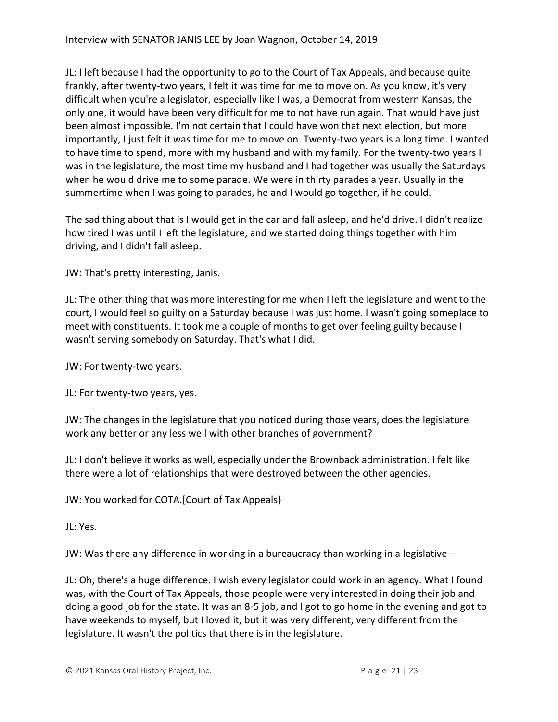JL: I left because I had the opportunity to go to the Court of Tax Appeals, and because quite frankly, after twenty-two years, I felt it was time for me to move on. As you know, it's very difficult when you're a legislator, especially like I was, a Democrat from western Kansas, the only one, it would have been very difficult for me to not have run again. That would have just been almost impossible. I'm not certain that I could have won that next election, but more importantly, I just felt it was time for me to move on. Twenty-two years is a long time. I wanted to have time to spend, more with my husband and with my family. For the twenty-two years I was in the legislature, the most time my husband and I had together was usually the Saturdays when he would drive me to some parade. We were in thirty parades a year. Usually in the summertime when I was going to parades, he and I would go together, if he could.

The sad thing about that is I would get in the car and fall asleep, and he'd drive. I didn't realize how tired I was until I left the legislature, and we started doing things together with him driving, and I didn't fall asleep.

JW: That's pretty interesting, Janis.

JL: The other thing that was more interesting for me when I left the legislature and went to the court, I would feel so guilty on a Saturday because I was just home. I wasn't going someplace to meet with constituents. It took me a couple of months to get over feeling guilty because I wasn't serving somebody on Saturday. That's what I did.

JW: For twenty-two years.

JL: For twenty-two years, yes.

JW: The changes in the legislature that you noticed during those years, does the legislature work any better or any less well with other branches of government?

JL: I don't believe it works as well, especially under the Brownback administration. I felt like there were a lot of relationships that were destroyed between the other agencies.

JW: You worked for COTA.[Court of Tax Appeals}

JL: Yes.

JW: Was there any difference in working in a bureaucracy than working in a legislative—

JL: Oh, there's a huge difference. I wish every legislator could work in an agency. What I found was, with the Court of Tax Appeals, those people were very interested in doing their job and doing a good job for the state. It was an 8-5 job, and I got to go home in the evening and got to have weekends to myself, but I loved it, but it was very different, very different from the legislature. It wasn't the politics that there is in the legislature.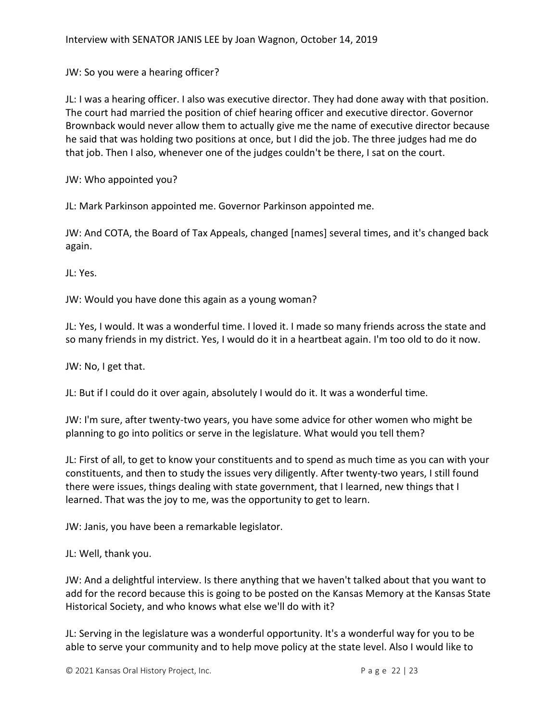JW: So you were a hearing officer?

JL: I was a hearing officer. I also was executive director. They had done away with that position. The court had married the position of chief hearing officer and executive director. Governor Brownback would never allow them to actually give me the name of executive director because he said that was holding two positions at once, but I did the job. The three judges had me do that job. Then I also, whenever one of the judges couldn't be there, I sat on the court.

JW: Who appointed you?

JL: Mark Parkinson appointed me. Governor Parkinson appointed me.

JW: And COTA, the Board of Tax Appeals, changed [names] several times, and it's changed back again.

JL: Yes.

JW: Would you have done this again as a young woman?

JL: Yes, I would. It was a wonderful time. I loved it. I made so many friends across the state and so many friends in my district. Yes, I would do it in a heartbeat again. I'm too old to do it now.

JW: No, I get that.

JL: But if I could do it over again, absolutely I would do it. It was a wonderful time.

JW: I'm sure, after twenty-two years, you have some advice for other women who might be planning to go into politics or serve in the legislature. What would you tell them?

JL: First of all, to get to know your constituents and to spend as much time as you can with your constituents, and then to study the issues very diligently. After twenty-two years, I still found there were issues, things dealing with state government, that I learned, new things that I learned. That was the joy to me, was the opportunity to get to learn.

JW: Janis, you have been a remarkable legislator.

JL: Well, thank you.

JW: And a delightful interview. Is there anything that we haven't talked about that you want to add for the record because this is going to be posted on the Kansas Memory at the Kansas State Historical Society, and who knows what else we'll do with it?

JL: Serving in the legislature was a wonderful opportunity. It's a wonderful way for you to be able to serve your community and to help move policy at the state level. Also I would like to